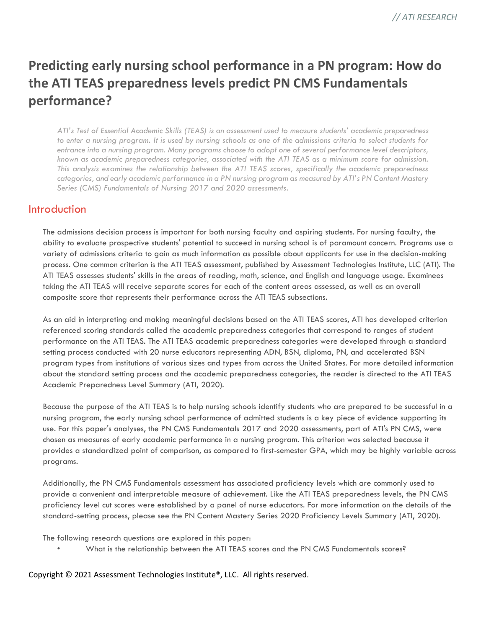# **Predicting early nursing school performance in a PN program: How do the ATI TEAS preparedness levels predict PN CMS Fundamentals performance?**

*ATI's Test of Essential Academic Skills (TEAS) is an assessment used to measure students' academic preparedness to enter a nursing program. It is used by nursing schools as one of the admissions criteria to select students for entrance into a nursing program. Many programs choose to adopt one of several performance level descriptors, known as academic preparedness categories, associated with the ATI TEAS as a minimum score for admission. This analysis examines the relationship between the ATI TEAS scores, specifically the academic preparedness categories, and early academic performance in a PN nursing program as measured by ATI's PN Content Mastery Series (CMS) Fundamentals of Nursing 2017 and 2020 assessments.*

### **Introduction**

The admissions decision process is important for both nursing faculty and aspiring students. For nursing faculty, the ability to evaluate prospective students' potential to succeed in nursing school is of paramount concern. Programs use a variety of admissions criteria to gain as much information as possible about applicants for use in the decision-making process. One common criterion is the ATI TEAS assessment, published by Assessment Technologies Institute, LLC (ATI). The ATI TEAS assesses students' skills in the areas of reading, math, science, and English and language usage. Examinees taking the ATI TEAS will receive separate scores for each of the content areas assessed, as well as an overall composite score that represents their performance across the ATI TEAS subsections.

As an aid in interpreting and making meaningful decisions based on the ATI TEAS scores, ATI has developed criterion referenced scoring standards called the academic preparedness categories that correspond to ranges of student performance on the ATI TEAS. The ATI TEAS academic preparedness categories were developed through a standard setting process conducted with 20 nurse educators representing ADN, BSN, diploma, PN, and accelerated BSN program types from institutions of various sizes and types from across the United States. For more detailed information about the standard setting process and the academic preparedness categories, the reader is directed to the ATI TEAS Academic Preparedness Level Summary (ATI, 2020).

Because the purpose of the ATI TEAS is to help nursing schools identify students who are prepared to be successful in a nursing program, the early nursing school performance of admitted students is a key piece of evidence supporting its use. For this paper's analyses, the PN CMS Fundamentals 2017 and 2020 assessments, part of ATI's PN CMS, were chosen as measures of early academic performance in a nursing program. This criterion was selected because it provides a standardized point of comparison, as compared to first-semester GPA, which may be highly variable across programs.

Additionally, the PN CMS Fundamentals assessment has associated proficiency levels which are commonly used to provide a convenient and interpretable measure of achievement. Like the ATI TEAS preparedness levels, the PN CMS proficiency level cut scores were established by a panel of nurse educators. For more information on the details of the standard-setting process, please see the PN Content Mastery Series 2020 Proficiency Levels Summary (ATI, 2020).

The following research questions are explored in this paper:

• What is the relationship between the ATI TEAS scores and the PN CMS Fundamentals scores?

Copyright © 2021 Assessment Technologies Institute®, LLC. All rights reserved.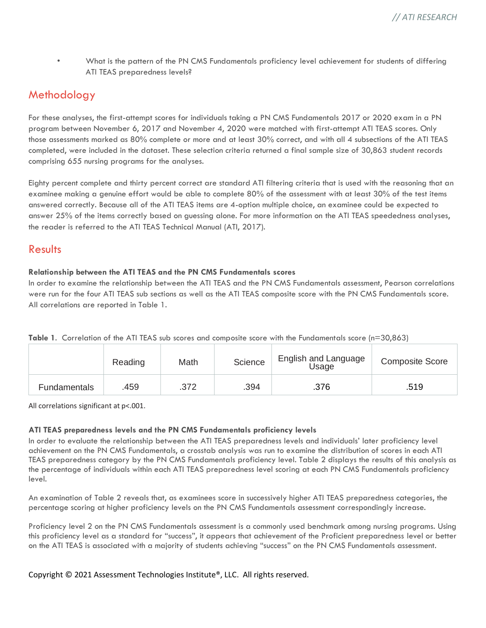• What is the pattern of the PN CMS Fundamentals proficiency level achievement for students of differing ATI TEAS preparedness levels?

### Methodology

For these analyses, the first-attempt scores for individuals taking a PN CMS Fundamentals 2017 or 2020 exam in a PN program between November 6, 2017 and November 4, 2020 were matched with first-attempt ATI TEAS scores. Only those assessments marked as 80% complete or more and at least 30% correct, and with all 4 subsections of the ATI TEAS completed, were included in the dataset. These selection criteria returned a final sample size of 30,863 student records comprising 655 nursing programs for the analyses.

Eighty percent complete and thirty percent correct are standard ATI filtering criteria that is used with the reasoning that an examinee making a genuine effort would be able to complete 80% of the assessment with at least 30% of the test items answered correctly. Because all of the ATI TEAS items are 4-option multiple choice, an examinee could be expected to answer 25% of the items correctly based on guessing alone. For more information on the ATI TEAS speededness analyses, the reader is referred to the ATI TEAS Technical Manual (ATI, 2017).

### Results

#### **Relationship between the ATI TEAS and the PN CMS Fundamentals scores**

In order to examine the relationship between the ATI TEAS and the PN CMS Fundamentals assessment, Pearson correlations were run for the four ATI TEAS sub sections as well as the ATI TEAS composite score with the PN CMS Fundamentals score. All correlations are reported in Table 1.

|  |  |  | Table 1. Correlation of the ATI TEAS sub scores and composite score with the Fundamentals score (n=30,863) |  |
|--|--|--|------------------------------------------------------------------------------------------------------------|--|
|  |  |  |                                                                                                            |  |

|                     | Reading | Math | Science | English and Language<br>Usage | <b>Composite Score</b> |
|---------------------|---------|------|---------|-------------------------------|------------------------|
| <b>Fundamentals</b> | .459    | .372 | .394    | .376                          | .519                   |

All correlations significant at p<.001.

#### **ATI TEAS preparedness levels and the PN CMS Fundamentals proficiency levels**

In order to evaluate the relationship between the ATI TEAS preparedness levels and individuals' later proficiency level achievement on the PN CMS Fundamentals, a crosstab analysis was run to examine the distribution of scores in each ATI TEAS preparedness category by the PN CMS Fundamentals proficiency level. Table 2 displays the results of this analysis as the percentage of individuals within each ATI TEAS preparedness level scoring at each PN CMS Fundamentals proficiency level.

An examination of Table 2 reveals that, as examinees score in successively higher ATI TEAS preparedness categories, the percentage scoring at higher proficiency levels on the PN CMS Fundamentals assessment correspondingly increase.

Proficiency level 2 on the PN CMS Fundamentals assessment is a commonly used benchmark among nursing programs. Using this proficiency level as a standard for "success", it appears that achievement of the Proficient preparedness level or better on the ATI TEAS is associated with a majority of students achieving "success" on the PN CMS Fundamentals assessment.

Copyright © 2021 Assessment Technologies Institute®, LLC. All rights reserved.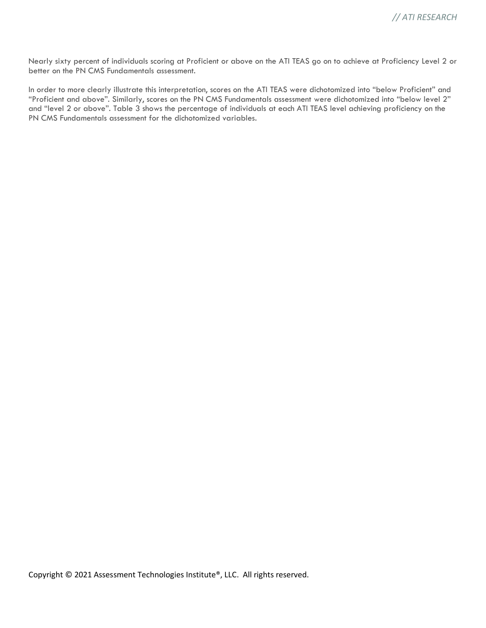Nearly sixty percent of individuals scoring at Proficient or above on the ATI TEAS go on to achieve at Proficiency Level 2 or better on the PN CMS Fundamentals assessment.

In order to more clearly illustrate this interpretation, scores on the ATI TEAS were dichotomized into "below Proficient" and "Proficient and above". Similarly, scores on the PN CMS Fundamentals assessment were dichotomized into "below level 2" and "level 2 or above". Table 3 shows the percentage of individuals at each ATI TEAS level achieving proficiency on the PN CMS Fundamentals assessment for the dichotomized variables.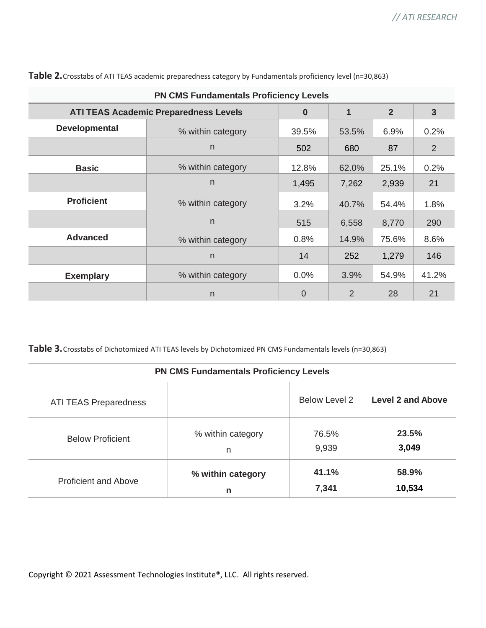|                      | <b>PN CMS Fundamentals Proficiency Levels</b> |                |       |                |                |  |
|----------------------|-----------------------------------------------|----------------|-------|----------------|----------------|--|
|                      | <b>ATI TEAS Academic Preparedness Levels</b>  | $\bf{0}$       | 1     | $\overline{2}$ | $\overline{3}$ |  |
| <b>Developmental</b> | % within category                             | 39.5%          | 53.5% | 6.9%           | 0.2%           |  |
|                      | n.                                            | 502            | 680   | 87             | 2              |  |
| <b>Basic</b>         | % within category                             | 12.8%          | 62.0% | 25.1%          | 0.2%           |  |
|                      | n                                             | 1,495          | 7,262 | 2,939          | 21             |  |
| <b>Proficient</b>    | % within category                             | 3.2%           | 40.7% | 54.4%          | 1.8%           |  |
|                      | n.                                            | 515            | 6,558 | 8,770          | 290            |  |
| <b>Advanced</b>      | % within category                             | 0.8%           | 14.9% | 75.6%          | 8.6%           |  |
|                      | n.                                            | 14             | 252   | 1,279          | 146            |  |
| <b>Exemplary</b>     | % within category                             | 0.0%           | 3.9%  | 54.9%          | 41.2%          |  |
|                      | n                                             | $\overline{0}$ | 2     | 28             | 21             |  |

Table 2. Crosstabs of ATI TEAS academic preparedness category by Fundamentals proficiency level (n=30,863)

**Table 3.**Crosstabs of Dichotomized ATI TEAS levels by Dichotomized PN CMS Fundamentals levels (n=30,863)

| <b>PN CMS Fundamentals Proficiency Levels</b> |                   |                      |                          |  |  |
|-----------------------------------------------|-------------------|----------------------|--------------------------|--|--|
| <b>ATI TEAS Preparedness</b>                  |                   | <b>Below Level 2</b> | <b>Level 2 and Above</b> |  |  |
| <b>Below Proficient</b>                       | % within category | 76.5%                | 23.5%                    |  |  |
|                                               | n                 | 9,939                | 3,049                    |  |  |
| <b>Proficient and Above</b>                   | % within category | 41.1%                | 58.9%                    |  |  |
|                                               | n                 | 7,341                | 10,534                   |  |  |

Copyright © 2021 Assessment Technologies Institute®, LLC. All rights reserved.